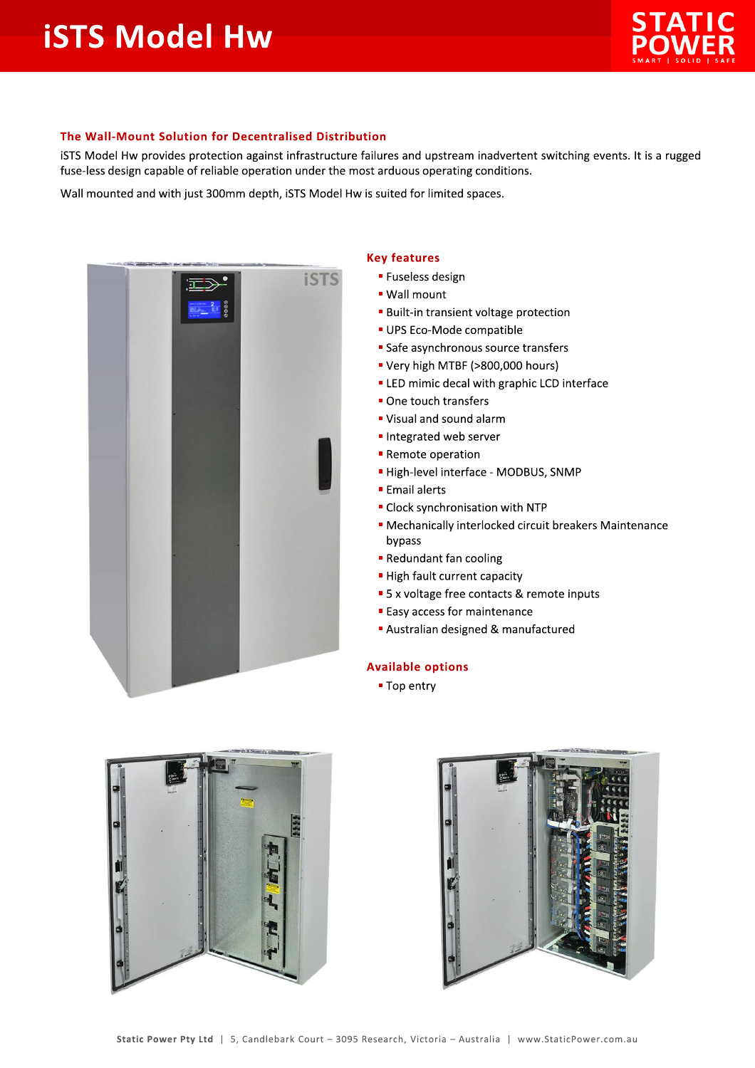## **iSTS Model Hw**



## The Wall-Mount Solution for Decentralised Distribution

iSTS Model Hw provides protection against infrastructure failures and upstream inadvertent switching events. It is a rugged fuse-less design capable of reliable operation under the most arduous operating conditions.

Wall mounted and with just 300mm depth, iSTS Model Hw is suited for limited spaces.



## **Key features**

- **E** Fuseless design
- Wall mount
- **Built-in transient voltage protection**
- UPS Eco-Mode compatible
- Safe asynchronous source transfers
- " Very high MTBF (>800,000 hours)
- " LED mimic decal with graphic LCD interface
- One touch transfers
- " Visual and sound alarm
- Integrated web server
- Remote operation
- High-level interface MODBUS, SNMP
- **Email alerts**
- Clock synchronisation with NTP
- Mechanically interlocked circuit breakers Maintenance bypass
- Redundant fan cooling
- High fault current capacity
- 5 x voltage free contacts & remote inputs
- **Easy access for maintenance**
- Australian designed & manufactured

## **Available options**

■ Top entry